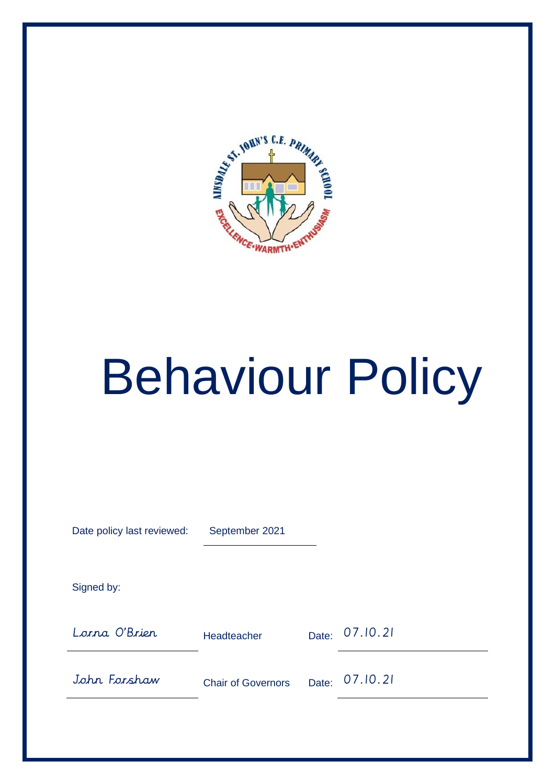

# Behaviour Policy

| Date policy last reviewed: | September 2021            |       |          |
|----------------------------|---------------------------|-------|----------|
| Signed by:                 |                           |       |          |
| Lorna O'Brier              | Headteacher               | Date: | 07.10.21 |
| John Forshaw               | <b>Chair of Governors</b> | Date: | 07.10.21 |
|                            |                           |       |          |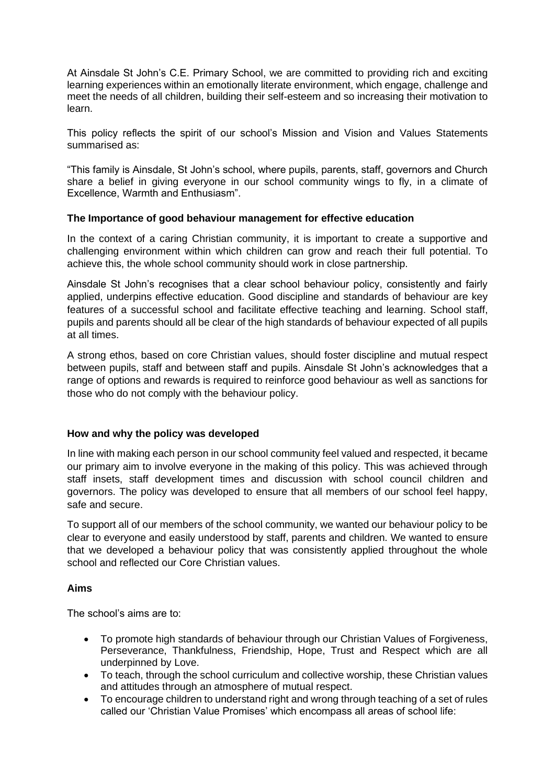At Ainsdale St John's C.E. Primary School, we are committed to providing rich and exciting learning experiences within an emotionally literate environment, which engage, challenge and meet the needs of all children, building their self-esteem and so increasing their motivation to learn.

This policy reflects the spirit of our school's Mission and Vision and Values Statements summarised as:

"This family is Ainsdale, St John's school, where pupils, parents, staff, governors and Church share a belief in giving everyone in our school community wings to fly, in a climate of Excellence, Warmth and Enthusiasm".

### **The Importance of good behaviour management for effective education**

In the context of a caring Christian community, it is important to create a supportive and challenging environment within which children can grow and reach their full potential. To achieve this, the whole school community should work in close partnership.

Ainsdale St John's recognises that a clear school behaviour policy, consistently and fairly applied, underpins effective education. Good discipline and standards of behaviour are key features of a successful school and facilitate effective teaching and learning. School staff, pupils and parents should all be clear of the high standards of behaviour expected of all pupils at all times.

A strong ethos, based on core Christian values, should foster discipline and mutual respect between pupils, staff and between staff and pupils. Ainsdale St John's acknowledges that a range of options and rewards is required to reinforce good behaviour as well as sanctions for those who do not comply with the behaviour policy.

### **How and why the policy was developed**

In line with making each person in our school community feel valued and respected, it became our primary aim to involve everyone in the making of this policy. This was achieved through staff insets, staff development times and discussion with school council children and governors. The policy was developed to ensure that all members of our school feel happy, safe and secure.

To support all of our members of the school community, we wanted our behaviour policy to be clear to everyone and easily understood by staff, parents and children. We wanted to ensure that we developed a behaviour policy that was consistently applied throughout the whole school and reflected our Core Christian values.

### **Aims**

The school's aims are to:

- To promote high standards of behaviour through our Christian Values of Forgiveness, Perseverance, Thankfulness, Friendship, Hope, Trust and Respect which are all underpinned by Love.
- To teach, through the school curriculum and collective worship, these Christian values and attitudes through an atmosphere of mutual respect.
- To encourage children to understand right and wrong through teaching of a set of rules called our 'Christian Value Promises' which encompass all areas of school life: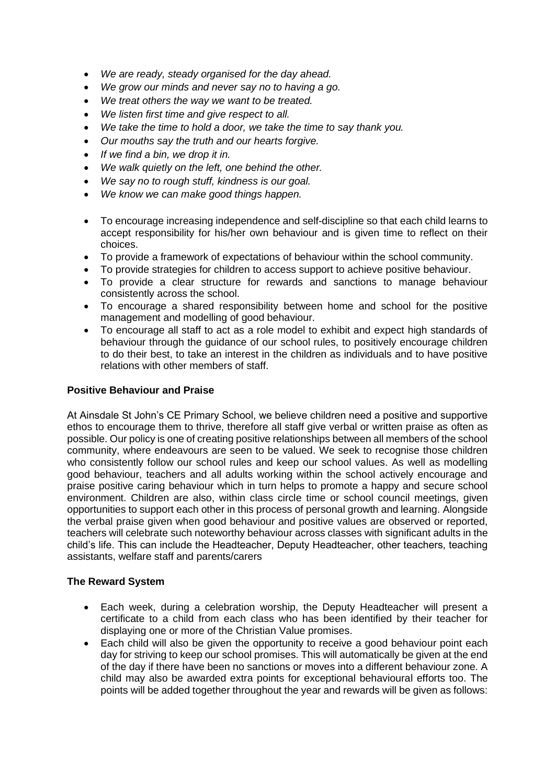- *We are ready, steady organised for the day ahead.*
- *We grow our minds and never say no to having a go.*
- *We treat others the way we want to be treated.*
- *We listen first time and give respect to all.*
- *We take the time to hold a door, we take the time to say thank you.*
- *Our mouths say the truth and our hearts forgive.*
- *If we find a bin, we drop it in.*
- *We walk quietly on the left, one behind the other.*
- *We say no to rough stuff, kindness is our goal.*
- *We know we can make good things happen.*
- To encourage increasing independence and self-discipline so that each child learns to accept responsibility for his/her own behaviour and is given time to reflect on their choices.
- To provide a framework of expectations of behaviour within the school community.
- To provide strategies for children to access support to achieve positive behaviour.
- To provide a clear structure for rewards and sanctions to manage behaviour consistently across the school.
- To encourage a shared responsibility between home and school for the positive management and modelling of good behaviour.
- To encourage all staff to act as a role model to exhibit and expect high standards of behaviour through the guidance of our school rules, to positively encourage children to do their best, to take an interest in the children as individuals and to have positive relations with other members of staff.

# **Positive Behaviour and Praise**

At Ainsdale St John's CE Primary School, we believe children need a positive and supportive ethos to encourage them to thrive, therefore all staff give verbal or written praise as often as possible. Our policy is one of creating positive relationships between all members of the school community, where endeavours are seen to be valued. We seek to recognise those children who consistently follow our school rules and keep our school values. As well as modelling good behaviour, teachers and all adults working within the school actively encourage and praise positive caring behaviour which in turn helps to promote a happy and secure school environment. Children are also, within class circle time or school council meetings, given opportunities to support each other in this process of personal growth and learning. Alongside the verbal praise given when good behaviour and positive values are observed or reported, teachers will celebrate such noteworthy behaviour across classes with significant adults in the child's life. This can include the Headteacher, Deputy Headteacher, other teachers, teaching assistants, welfare staff and parents/carers

### **The Reward System**

- Each week, during a celebration worship, the Deputy Headteacher will present a certificate to a child from each class who has been identified by their teacher for displaying one or more of the Christian Value promises.
- Each child will also be given the opportunity to receive a good behaviour point each day for striving to keep our school promises. This will automatically be given at the end of the day if there have been no sanctions or moves into a different behaviour zone. A child may also be awarded extra points for exceptional behavioural efforts too. The points will be added together throughout the year and rewards will be given as follows: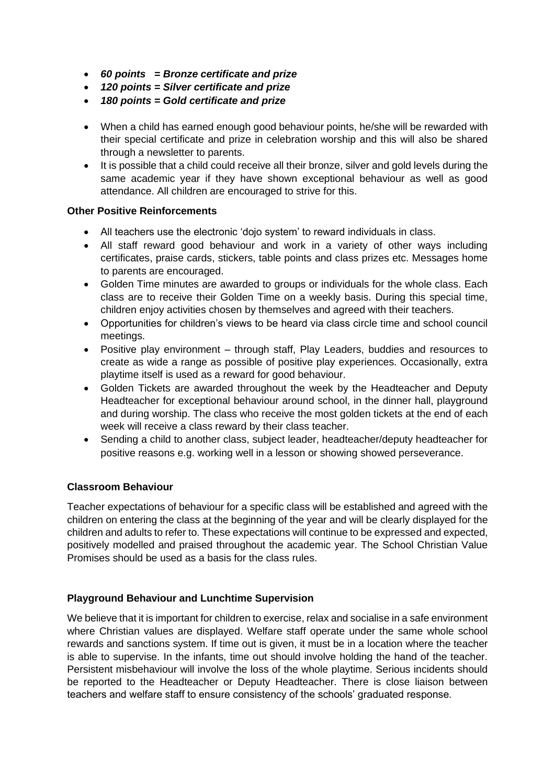- *60 points = Bronze certificate and prize*
- *120 points = Silver certificate and prize*
- *180 points = Gold certificate and prize*
- When a child has earned enough good behaviour points, he/she will be rewarded with their special certificate and prize in celebration worship and this will also be shared through a newsletter to parents.
- It is possible that a child could receive all their bronze, silver and gold levels during the same academic year if they have shown exceptional behaviour as well as good attendance. All children are encouraged to strive for this.

# **Other Positive Reinforcements**

- All teachers use the electronic 'dojo system' to reward individuals in class.
- All staff reward good behaviour and work in a variety of other ways including certificates, praise cards, stickers, table points and class prizes etc. Messages home to parents are encouraged.
- Golden Time minutes are awarded to groups or individuals for the whole class. Each class are to receive their Golden Time on a weekly basis. During this special time, children enjoy activities chosen by themselves and agreed with their teachers.
- Opportunities for children's views to be heard via class circle time and school council meetings.
- Positive play environment through staff, Play Leaders, buddies and resources to create as wide a range as possible of positive play experiences. Occasionally, extra playtime itself is used as a reward for good behaviour.
- Golden Tickets are awarded throughout the week by the Headteacher and Deputy Headteacher for exceptional behaviour around school, in the dinner hall, playground and during worship. The class who receive the most golden tickets at the end of each week will receive a class reward by their class teacher.
- Sending a child to another class, subject leader, headteacher/deputy headteacher for positive reasons e.g. working well in a lesson or showing showed perseverance.

# **Classroom Behaviour**

Teacher expectations of behaviour for a specific class will be established and agreed with the children on entering the class at the beginning of the year and will be clearly displayed for the children and adults to refer to. These expectations will continue to be expressed and expected, positively modelled and praised throughout the academic year. The School Christian Value Promises should be used as a basis for the class rules.

# **Playground Behaviour and Lunchtime Supervision**

We believe that it is important for children to exercise, relax and socialise in a safe environment where Christian values are displayed. Welfare staff operate under the same whole school rewards and sanctions system. If time out is given, it must be in a location where the teacher is able to supervise. In the infants, time out should involve holding the hand of the teacher. Persistent misbehaviour will involve the loss of the whole playtime. Serious incidents should be reported to the Headteacher or Deputy Headteacher. There is close liaison between teachers and welfare staff to ensure consistency of the schools' graduated response.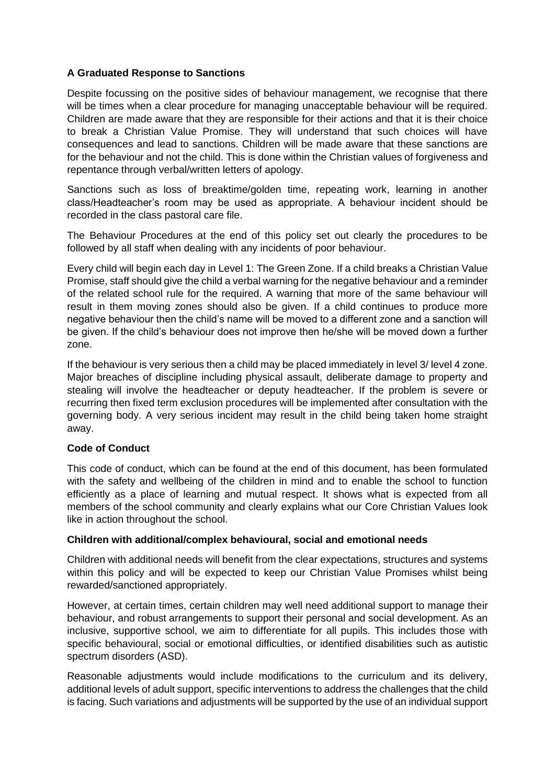# **A Graduated Response to Sanctions**

Despite focussing on the positive sides of behaviour management, we recognise that there will be times when a clear procedure for managing unacceptable behaviour will be required. Children are made aware that they are responsible for their actions and that it is their choice to break a Christian Value Promise. They will understand that such choices will have consequences and lead to sanctions. Children will be made aware that these sanctions are for the behaviour and not the child. This is done within the Christian values of forgiveness and repentance through verbal/written letters of apology.

Sanctions such as loss of breaktime/golden time, repeating work, learning in another class/Headteacher's room may be used as appropriate. A behaviour incident should be recorded in the class pastoral care file.

The Behaviour Procedures at the end of this policy set out clearly the procedures to be followed by all staff when dealing with any incidents of poor behaviour.

Every child will begin each day in Level 1: The Green Zone. If a child breaks a Christian Value Promise, staff should give the child a verbal warning for the negative behaviour and a reminder of the related school rule for the required. A warning that more of the same behaviour will result in them moving zones should also be given. If a child continues to produce more negative behaviour then the child's name will be moved to a different zone and a sanction will be given. If the child's behaviour does not improve then he/she will be moved down a further zone.

If the behaviour is very serious then a child may be placed immediately in level 3/ level 4 zone. Major breaches of discipline including physical assault, deliberate damage to property and stealing will involve the headteacher or deputy headteacher. If the problem is severe or recurring then fixed term exclusion procedures will be implemented after consultation with the governing body. A very serious incident may result in the child being taken home straight away.

# **Code of Conduct**

This code of conduct, which can be found at the end of this document, has been formulated with the safety and wellbeing of the children in mind and to enable the school to function efficiently as a place of learning and mutual respect. It shows what is expected from all members of the school community and clearly explains what our Core Christian Values look like in action throughout the school.

### **Children with additional/complex behavioural, social and emotional needs**

Children with additional needs will benefit from the clear expectations, structures and systems within this policy and will be expected to keep our Christian Value Promises whilst being rewarded/sanctioned appropriately.

However, at certain times, certain children may well need additional support to manage their behaviour, and robust arrangements to support their personal and social development. As an inclusive, supportive school, we aim to differentiate for all pupils. This includes those with specific behavioural, social or emotional difficulties, or identified disabilities such as autistic spectrum disorders (ASD).

Reasonable adjustments would include modifications to the curriculum and its delivery, additional levels of adult support, specific interventions to address the challenges that the child is facing. Such variations and adjustments will be supported by the use of an individual support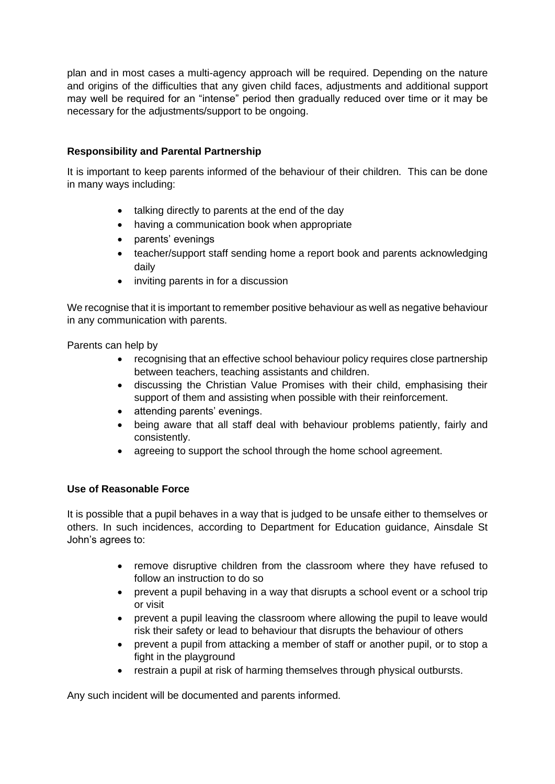plan and in most cases a multi-agency approach will be required. Depending on the nature and origins of the difficulties that any given child faces, adjustments and additional support may well be required for an "intense" period then gradually reduced over time or it may be necessary for the adjustments/support to be ongoing.

# **Responsibility and Parental Partnership**

It is important to keep parents informed of the behaviour of their children. This can be done in many ways including:

- talking directly to parents at the end of the day
- having a communication book when appropriate
- parents' evenings
- teacher/support staff sending home a report book and parents acknowledging daily
- inviting parents in for a discussion

We recognise that it is important to remember positive behaviour as well as negative behaviour in any communication with parents.

Parents can help by

- recognising that an effective school behaviour policy requires close partnership between teachers, teaching assistants and children.
- discussing the Christian Value Promises with their child, emphasising their support of them and assisting when possible with their reinforcement.
- attending parents' evenings.
- being aware that all staff deal with behaviour problems patiently, fairly and consistently.
- agreeing to support the school through the home school agreement.

# **Use of Reasonable Force**

It is possible that a pupil behaves in a way that is judged to be unsafe either to themselves or others. In such incidences, according to Department for Education guidance, Ainsdale St John's agrees to:

- remove disruptive children from the classroom where they have refused to follow an instruction to do so
- prevent a pupil behaving in a way that disrupts a school event or a school trip or visit
- prevent a pupil leaving the classroom where allowing the pupil to leave would risk their safety or lead to behaviour that disrupts the behaviour of others
- prevent a pupil from attacking a member of staff or another pupil, or to stop a fight in the playground
- restrain a pupil at risk of harming themselves through physical outbursts.

Any such incident will be documented and parents informed.